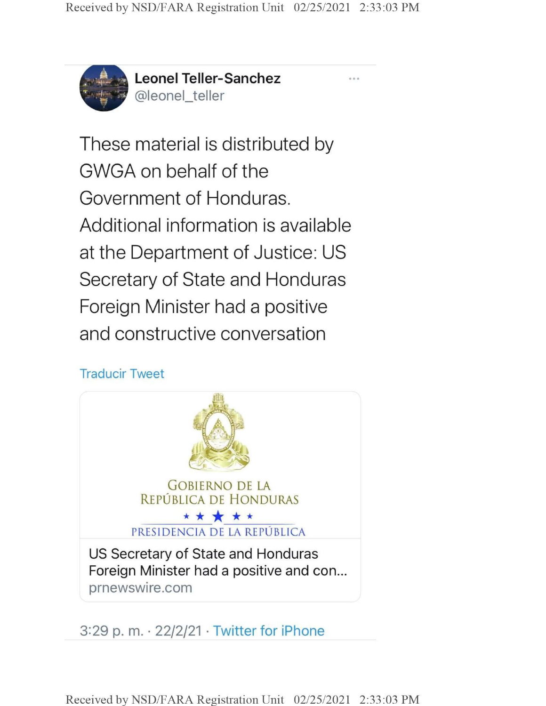

**Leonel Teller-Sanchez** @leonel\_teller

These material is distributed by GWGA on behalf of the Government of Honduras. Additional information is available at the Department of Justice: US Secretary of State and Honduras Foreign Minister had a positive and constructive conversation

## Traducir Tweet



3:29 p. m. 22/2/21 • Twitter for iPhone

Received by NSD/FARA Registration Unit 02/25/2021 2:33:03 PM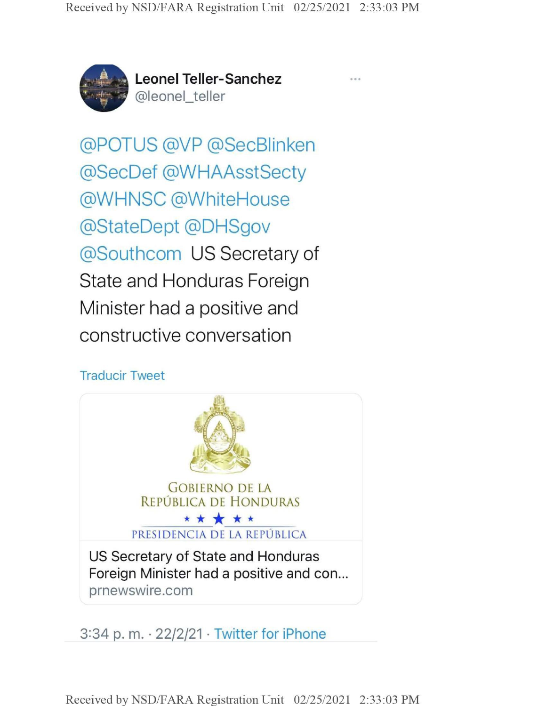

**Leonel Teller-Sanchez** @leonel\_teller

@POTUS @VP @SecBlinken @SecDef @WHAAsstSecty @WHNSC @WhiteHouse @StateDept @DHSgov @Southcom US Secretary of State and Honduras Foreign Minister had a positive and constructive conversation

#### Traducir Tweet



3:34 p.m.  $\cdot$  22/2/21  $\cdot$  Twitter for iPhone

Received by NSD/FARA Registration Unit 02/25/2021 2:33:03 PM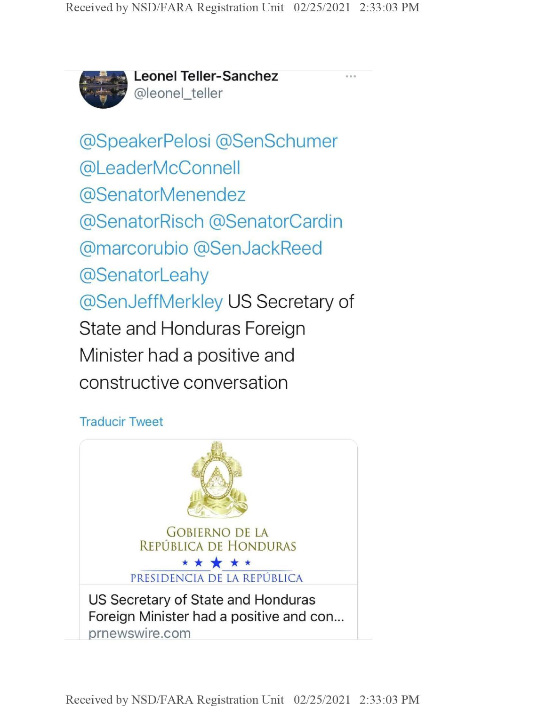

*£3\** **Leonel Teller-Sanchez** @leonel\_teller

@SpeakerPelosi @SenSchumer @LeaderMcConnell @SenatorMenendez @SenatorRisch @SenatorCardin @marcorubio @SenJackReed @SenatorLeahy @SenJeffMerkley US Secretary of State and Honduras Foreign Minister had a positive and constructive conversation

### Traducir Tweet

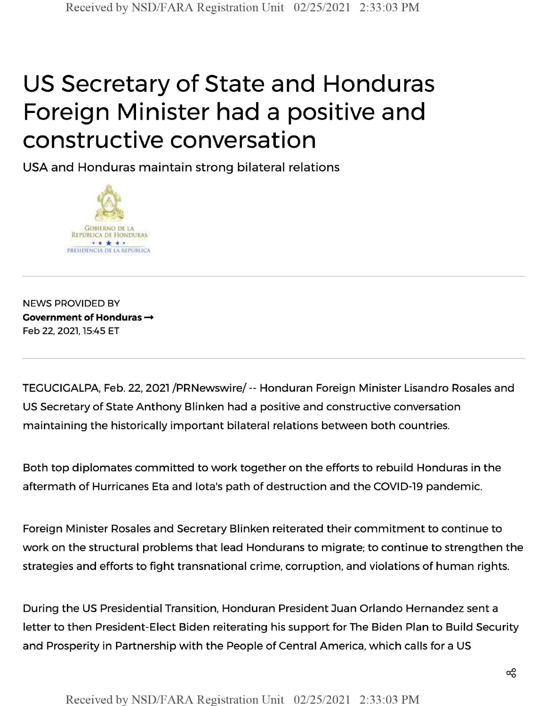# US Secretary of State and Honduras Foreign Minister had a positive and constructive conversation

USA and Honduras maintain strong bilateral relations



NEWS PROVIDED BY **Government of Honduras —** Feb 22, 2021,15:45 ET

TEGUCIGALPA, Feb. 22, 2021 /PRNewswire/-- Honduran Foreign Minister Lisandro Rosales and US Secretary of State Anthony Blinken had a positive and constructive conversation maintaining the historically important bilateral relations between both countries.

Both top diplomates committed to work together on the efforts to rebuild Honduras in the aftermath of Hurricanes Eta and lota's path of destruction and the COVID-19 pandemic.

Foreign Minister Rosales and Secretary Blinken reiterated their commitment to continue to work on the structural problems that lead Hondurans to migrate; to continue to strengthen the strategies and efforts to fight transnational crime, corruption, and violations of human rights.

During the US Presidential Transition, Honduran President Juan Orlando Hernandez sent <sup>a</sup> letter to then President-Elect Biden reiterating his support for The Biden Plan to Build Security and Prosperity in Partnership with the People of Central America, which calls for a US